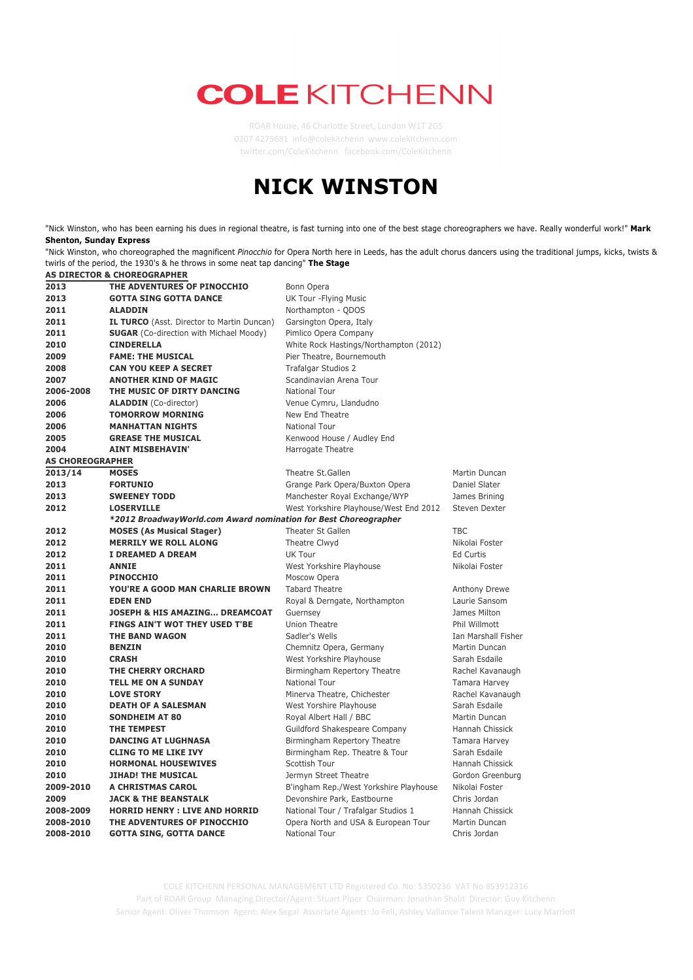## **COLE KITCHENN**

ROAR House, 46 Charlotte Street, London W1T 2GS 0207 4275681 info@colekitchenn www.colekitchenn.com twi2er.com/ColeKitchenn facebook.com/ColeKitchenn

## **NICK WINSTON**

"Nick Winston, who has been earning his dues in regional theatre, is fast turning into one of the best stage choreographers we have. Really wonderful work!" **Mark Shenton, Sunday Express**

"Nick Winston, who choreographed the magnificent *Pinocchio* for Opera North here in Leeds, has the adult chorus dancers using the traditional jumps, kicks, twists & twirls of the period, the 1930's & he throws in some neat tap dancing" **The Stage**

|                         | AS DIRECTOR & CHOREOGRAPHER                                     |                                        |                     |
|-------------------------|-----------------------------------------------------------------|----------------------------------------|---------------------|
| 2013                    | THE ADVENTURES OF PINOCCHIO                                     | Bonn Opera                             |                     |
| 2013                    | <b>GOTTA SING GOTTA DANCE</b>                                   | UK Tour - Flying Music                 |                     |
| 2011                    | <b>ALADDIN</b>                                                  | Northampton - QDOS                     |                     |
| 2011                    | <b>IL TURCO</b> (Asst. Director to Martin Duncan)               | Garsington Opera, Italy                |                     |
| 2011                    | <b>SUGAR</b> (Co-direction with Michael Moody)                  | Pimlico Opera Company                  |                     |
| 2010                    | <b>CINDERELLA</b>                                               | White Rock Hastings/Northampton (2012) |                     |
| 2009                    | <b>FAME: THE MUSICAL</b>                                        | Pier Theatre, Bournemouth              |                     |
| 2008                    | <b>CAN YOU KEEP A SECRET</b>                                    | <b>Trafalgar Studios 2</b>             |                     |
| 2007                    | <b>ANOTHER KIND OF MAGIC</b>                                    | Scandinavian Arena Tour                |                     |
| 2006-2008               | THE MUSIC OF DIRTY DANCING                                      | <b>National Tour</b>                   |                     |
| 2006                    | <b>ALADDIN</b> (Co-director)                                    | Venue Cymru, Llandudno                 |                     |
| 2006                    | <b>TOMORROW MORNING</b>                                         | New End Theatre                        |                     |
| 2006                    | <b>MANHATTAN NIGHTS</b>                                         | <b>National Tour</b>                   |                     |
| 2005                    | <b>GREASE THE MUSICAL</b>                                       | Kenwood House / Audley End             |                     |
| 2004                    | <b>AINT MISBEHAVIN'</b>                                         | Harrogate Theatre                      |                     |
| <b>AS CHOREOGRAPHER</b> |                                                                 |                                        |                     |
| 2013/14                 | <b>MOSES</b>                                                    | Theatre St.Gallen                      | Martin Duncan       |
| 2013                    | <b>FORTUNIO</b>                                                 | Grange Park Opera/Buxton Opera         | Daniel Slater       |
| 2013                    | <b>SWEENEY TODD</b>                                             | Manchester Royal Exchange/WYP          | James Brining       |
| 2012                    | <b>LOSERVILLE</b>                                               | West Yorkshire Playhouse/West End 2012 | Steven Dexter       |
|                         | *2012 BroadwayWorld.com Award nomination for Best Choreographer |                                        |                     |
| 2012                    | <b>MOSES (As Musical Stager)</b>                                | <b>Theater St Gallen</b>               | <b>TBC</b>          |
| 2012                    | <b>MERRILY WE ROLL ALONG</b>                                    | Theatre Clwyd                          | Nikolai Foster      |
| 2012                    | <b>I DREAMED A DREAM</b>                                        | UK Tour                                | <b>Ed Curtis</b>    |
| 2011                    | <b>ANNIE</b>                                                    | West Yorkshire Playhouse               | Nikolai Foster      |
| 2011                    | <b>PINOCCHIO</b>                                                | Moscow Opera                           |                     |
| 2011                    | <b>YOU'RE A GOOD MAN CHARLIE BROWN</b>                          | <b>Tabard Theatre</b>                  | Anthony Drewe       |
| 2011                    | <b>EDEN END</b>                                                 | Royal & Derngate, Northampton          | Laurie Sansom       |
| 2011                    | <b>JOSEPH &amp; HIS AMAZING DREAMCOAT</b>                       | Guernsey                               | James Milton        |
| 2011                    | FINGS AIN'T WOT THEY USED T'BE                                  | Union Theatre                          | Phil Willmott       |
| 2011                    | <b>THE BAND WAGON</b>                                           | Sadler's Wells                         | Ian Marshall Fisher |
| 2010                    | <b>BENZIN</b>                                                   | Chemnitz Opera, Germany                | Martin Duncan       |
| 2010                    | <b>CRASH</b>                                                    | West Yorkshire Playhouse               | Sarah Esdaile       |
| 2010                    | <b>THE CHERRY ORCHARD</b>                                       | Birmingham Repertory Theatre           | Rachel Kavanaugh    |
| 2010                    | <b>TELL ME ON A SUNDAY</b>                                      | National Tour                          | Tamara Harvey       |
| 2010                    | <b>LOVE STORY</b>                                               | Minerva Theatre, Chichester            | Rachel Kavanaugh    |
| 2010                    | <b>DEATH OF A SALESMAN</b>                                      | West Yorshire Playhouse                | Sarah Esdaile       |
| 2010                    | <b>SONDHEIM AT 80</b>                                           | Royal Albert Hall / BBC                | Martin Duncan       |
| 2010                    | THE TEMPEST                                                     | Guildford Shakespeare Company          | Hannah Chissick     |
| 2010                    | <b>DANCING AT LUGHNASA</b>                                      | Birmingham Repertory Theatre           | Tamara Harvey       |
| 2010                    | <b>CLING TO ME LIKE IVY</b>                                     | Birmingham Rep. Theatre & Tour         | Sarah Esdaile       |
| 2010                    | <b>HORMONAL HOUSEWIVES</b>                                      | Scottish Tour                          | Hannah Chissick     |
| 2010                    | <b>JIHAD! THE MUSICAL</b>                                       | Jermyn Street Theatre                  | Gordon Greenburg    |
| 2009-2010               | A CHRISTMAS CAROL                                               | B'ingham Rep./West Yorkshire Playhouse | Nikolai Foster      |
| 2009                    | <b>JACK &amp; THE BEANSTALK</b>                                 | Devonshire Park, Eastbourne            | Chris Jordan        |
| 2008-2009               | <b>HORRID HENRY: LIVE AND HORRID</b>                            | National Tour / Trafalgar Studios 1    | Hannah Chissick     |
| 2008-2010               | THE ADVENTURES OF PINOCCHIO                                     | Opera North and USA & European Tour    | Martin Duncan       |
| 2008-2010               | <b>GOTTA SING, GOTTA DANCE</b>                                  | <b>National Tour</b>                   | Chris Jordan        |
|                         |                                                                 |                                        |                     |

 **Boker Music Chairm Chancer Music Chairman: Director Control Concernsiversal Chairman:** Jonathan Shalit Director: Guy Kitchenn Senior Agent: Oliver Thomson Agent: Alex Segal Associate Agents: Jo Fell, Ashley Vallance Talent Manager: Lucy Marriott COLE KITCHENN PERSONAL MANAGEMENT LTD Registered Co. No: 5350236 VAT No 853912316